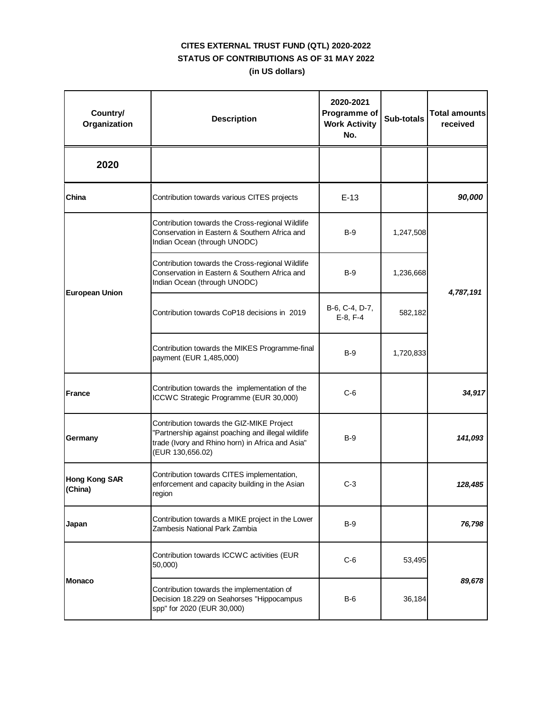| Country/<br>Organization        | <b>Description</b>                                                                                                                                                      | 2020-2021<br>Programme of<br><b>Work Activity</b><br>No. | Sub-totals | <b>Total amounts</b><br>received |
|---------------------------------|-------------------------------------------------------------------------------------------------------------------------------------------------------------------------|----------------------------------------------------------|------------|----------------------------------|
| 2020                            |                                                                                                                                                                         |                                                          |            |                                  |
| China                           | Contribution towards various CITES projects                                                                                                                             | $E-13$                                                   |            | 90,000                           |
|                                 | Contribution towards the Cross-regional Wildlife<br>Conservation in Eastern & Southern Africa and<br>Indian Ocean (through UNODC)                                       | $B-9$                                                    | 1,247,508  |                                  |
|                                 | Contribution towards the Cross-regional Wildlife<br>Conservation in Eastern & Southern Africa and<br>Indian Ocean (through UNODC)                                       | $B-9$                                                    | 1,236,668  |                                  |
| <b>European Union</b>           | Contribution towards CoP18 decisions in 2019                                                                                                                            | B-6, C-4, D-7,<br>$E-8, F-4$                             | 582,182    | 4,787,191                        |
|                                 | Contribution towards the MIKES Programme-final<br>payment (EUR 1,485,000)                                                                                               | B-9                                                      | 1,720,833  |                                  |
| <b>France</b>                   | Contribution towards the implementation of the<br>ICCWC Strategic Programme (EUR 30,000)                                                                                | $C-6$                                                    |            | 34,917                           |
| Germany                         | Contribution towards the GIZ-MIKE Project<br>"Partnership against poaching and illegal wildlife<br>trade (Ivory and Rhino horn) in Africa and Asia"<br>(EUR 130,656.02) | B-9                                                      |            | 141,093                          |
| <b>Hong Kong SAR</b><br>(China) | Contribution towards CITES implementation,<br>enforcement and capacity building in the Asian<br>region                                                                  | $C-3$                                                    |            | 128,485                          |
| Japan                           | Contribution towards a MIKE project in the Lower<br>Zambesis National Park Zambia                                                                                       | $B-9$                                                    |            | 76,798                           |
| <b>Monaco</b>                   | Contribution towards ICCWC activities (EUR<br>50,000)                                                                                                                   | $C-6$                                                    | 53,495     |                                  |
|                                 | Contribution towards the implementation of<br>Decision 18.229 on Seahorses "Hippocampus<br>spp" for 2020 (EUR 30,000)                                                   | $B-6$                                                    | 36,184     | 89,678                           |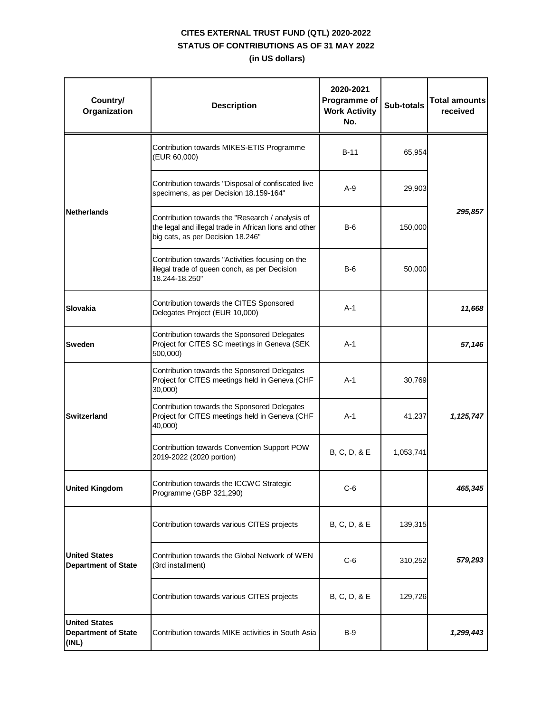| Country/<br>Organization                                    | <b>Description</b>                                                                                                                              | 2020-2021<br>Programme of<br><b>Work Activity</b><br>No. | Sub-totals | <b>Total amounts</b><br>received |
|-------------------------------------------------------------|-------------------------------------------------------------------------------------------------------------------------------------------------|----------------------------------------------------------|------------|----------------------------------|
|                                                             | Contribution towards MIKES-ETIS Programme<br>(EUR 60,000)                                                                                       | B-11                                                     | 65,954     |                                  |
|                                                             | Contribution towards "Disposal of confiscated live<br>specimens, as per Decision 18.159-164"                                                    | $A-9$                                                    | 29,903     |                                  |
| <b>Netherlands</b>                                          | Contribution towards the "Research / analysis of<br>the legal and illegal trade in African lions and other<br>big cats, as per Decision 18.246" | $B-6$                                                    | 150,000    | 295,857                          |
|                                                             | Contribution towards "Activities focusing on the<br>illegal trade of queen conch, as per Decision<br>18.244-18.250"                             | $B-6$                                                    | 50,000     |                                  |
| Slovakia                                                    | Contribution towards the CITES Sponsored<br>Delegates Project (EUR 10,000)                                                                      | $A-1$                                                    |            | 11,668                           |
| <b>Sweden</b>                                               | Contribution towards the Sponsored Delegates<br>Project for CITES SC meetings in Geneva (SEK<br>500,000)                                        | $A-1$                                                    |            | 57,146                           |
|                                                             | Contribution towards the Sponsored Delegates<br>Project for CITES meetings held in Geneva (CHF<br>30,000)                                       | A-1                                                      | 30,769     |                                  |
| <b>Switzerland</b>                                          | Contribution towards the Sponsored Delegates<br>Project for CITES meetings held in Geneva (CHF<br>40,000)                                       | $A-1$                                                    | 41,237     | 1,125,747                        |
|                                                             | Contributtion towards Convention Support POW<br>2019-2022 (2020 portion)                                                                        | B, C, D, & E                                             | 1,053,741  |                                  |
| <b>United Kingdom</b>                                       | Contribution towards the ICCWC Strategic<br>Programme (GBP 321,290)                                                                             | $C-6$                                                    |            | 465,345                          |
| <b>United States</b><br><b>Department of State</b>          | Contribution towards various CITES projects                                                                                                     | B, C, D, & E                                             | 139,315    |                                  |
|                                                             | Contribution towards the Global Network of WEN<br>(3rd installment)                                                                             | $C-6$                                                    | 310,252    | 579,293                          |
|                                                             | Contribution towards various CITES projects                                                                                                     | B, C, D, & E                                             | 129,726    |                                  |
| <b>United States</b><br><b>Department of State</b><br>(INL) | Contribution towards MIKE activities in South Asia                                                                                              | B-9                                                      |            | 1,299,443                        |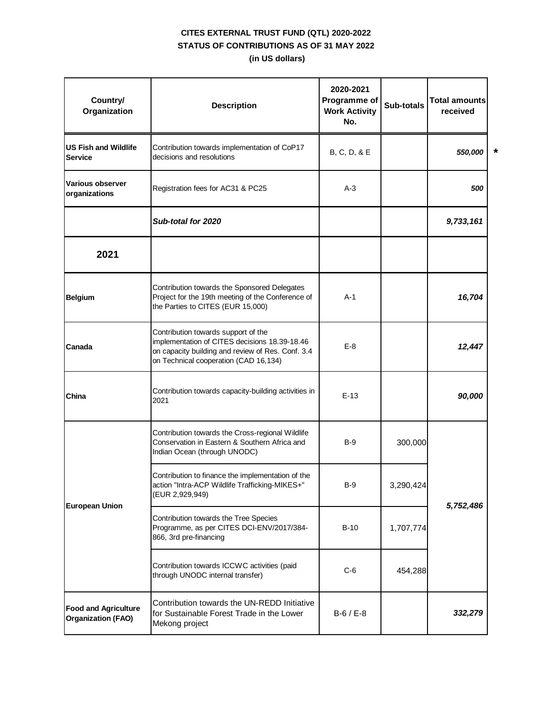| Country/<br>Organization                                 | <b>Description</b>                                                                                                                                                                 | 2020-2021<br>Programme of<br><b>Work Activity</b><br>No. | Sub-totals | <b>Total amounts</b><br>received |              |
|----------------------------------------------------------|------------------------------------------------------------------------------------------------------------------------------------------------------------------------------------|----------------------------------------------------------|------------|----------------------------------|--------------|
| <b>US Fish and Wildlife</b><br><b>Service</b>            | Contribution towards implementation of CoP17<br>decisions and resolutions                                                                                                          | B, C, D, & E                                             |            | 550,000                          | $\pmb{\ast}$ |
| Various observer<br>organizations                        | Registration fees for AC31 & PC25                                                                                                                                                  | $A-3$                                                    |            | 500                              |              |
|                                                          | Sub-total for 2020                                                                                                                                                                 |                                                          |            | 9,733,161                        |              |
| 2021                                                     |                                                                                                                                                                                    |                                                          |            |                                  |              |
| <b>Belgium</b>                                           | Contribution towards the Sponsored Delegates<br>Project for the 19th meeting of the Conference of<br>the Parties to CITES (EUR 15,000)                                             | $A-1$                                                    |            | 16,704                           |              |
| Canada                                                   | Contribution towards support of the<br>implementation of CITES decisions 18.39-18.46<br>on capacity building and review of Res. Conf. 3.4<br>on Technical cooperation (CAD 16,134) | $E-8$                                                    |            | 12,447                           |              |
| China                                                    | Contribution towards capacity-building activities in<br>2021                                                                                                                       | $E-13$                                                   |            | 90,000                           |              |
| <b>European Union</b>                                    | Contribution towards the Cross-regional Wildlife<br>Conservation in Eastern & Southern Africa and<br>Indian Ocean (through UNODC)                                                  | $B-9$                                                    | 300,000    |                                  |              |
|                                                          | Contribution to finance the implementation of the<br>action "Intra-ACP Wildlife Trafficking-MIKES+"<br>(EUR 2,929,949)                                                             | B-9                                                      | 3,290,424  | 5,752,486                        |              |
|                                                          | Contribution towards the Tree Species<br>Programme, as per CITES DCI-ENV/2017/384-<br>866, 3rd pre-financing                                                                       | B-10                                                     | 1,707,774  |                                  |              |
|                                                          | Contribution towards ICCWC activities (paid<br>through UNODC internal transfer)                                                                                                    | $C-6$                                                    | 454,288    |                                  |              |
| <b>Food and Agriculture</b><br><b>Organization (FAO)</b> | Contribution towards the UN-REDD Initiative<br>for Sustainable Forest Trade in the Lower<br>Mekong project                                                                         | $B-6 / E-8$                                              |            | 332,279                          |              |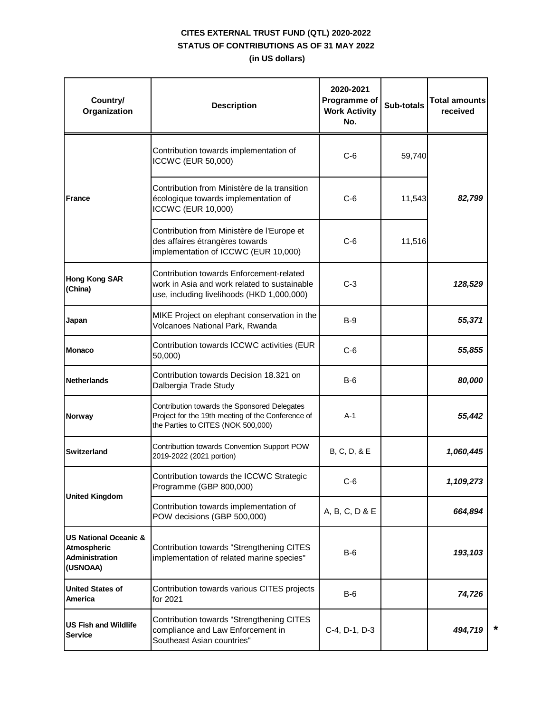| Country/<br>Organization                                                      | <b>Description</b>                                                                                                                      | 2020-2021<br>Programme of<br><b>Work Activity</b><br>No. | <b>Sub-totals</b> | <b>Total amounts</b><br>received |  |
|-------------------------------------------------------------------------------|-----------------------------------------------------------------------------------------------------------------------------------------|----------------------------------------------------------|-------------------|----------------------------------|--|
|                                                                               | Contribution towards implementation of<br>ICCWC (EUR 50,000)                                                                            | $C-6$                                                    | 59,740            |                                  |  |
| <b>France</b>                                                                 | Contribution from Ministère de la transition<br>écologique towards implementation of<br><b>ICCWC (EUR 10,000)</b>                       | $C-6$                                                    | 11,543            | 82,799                           |  |
|                                                                               | Contribution from Ministère de l'Europe et<br>des affaires étrangères towards<br>implementation of ICCWC (EUR 10,000)                   | C-6                                                      | 11,516            |                                  |  |
| <b>Hong Kong SAR</b><br>(China)                                               | Contribution towards Enforcement-related<br>work in Asia and work related to sustainable<br>use, including livelihoods (HKD 1,000,000)  | $C-3$                                                    |                   | 128,529                          |  |
| Japan                                                                         | MIKE Project on elephant conservation in the<br>Volcanoes National Park, Rwanda                                                         | $B-9$                                                    |                   | 55,371                           |  |
| <b>Monaco</b>                                                                 | Contribution towards ICCWC activities (EUR<br>50,000)                                                                                   | $C-6$                                                    |                   | 55,855                           |  |
| Netherlands                                                                   | Contribution towards Decision 18.321 on<br>Dalbergia Trade Study                                                                        | $B-6$                                                    |                   | 80,000                           |  |
| Norway                                                                        | Contribution towards the Sponsored Delegates<br>Project for the 19th meeting of the Conference of<br>the Parties to CITES (NOK 500,000) | $A-1$                                                    |                   | 55,442                           |  |
| <b>Switzerland</b>                                                            | Contributtion towards Convention Support POW<br>2019-2022 (2021 portion)                                                                | B, C, D, & E                                             |                   | 1,060,445                        |  |
|                                                                               | Contribution towards the ICCWC Strategic<br>Programme (GBP 800,000)                                                                     | $C-6$                                                    |                   | 1,109,273                        |  |
| <b>United Kingdom</b>                                                         | Contribution towards implementation of<br>POW decisions (GBP 500,000)                                                                   | A, B, C, D & E                                           |                   | 664,894                          |  |
| <b>US National Oceanic &amp;</b><br>Atmospheric<br>Administration<br>(USNOAA) | Contribution towards "Strengthening CITES<br>implementation of related marine species"                                                  | $B-6$                                                    |                   | 193,103                          |  |
| <b>United States of</b><br>America                                            | Contribution towards various CITES projects<br>for 2021                                                                                 | $B-6$                                                    |                   | 74,726                           |  |
| <b>US Fish and Wildlife</b><br><b>Service</b>                                 | Contribution towards "Strengthening CITES<br>compliance and Law Enforcement in<br>Southeast Asian countries"                            | C-4, D-1, D-3                                            |                   | 494,719                          |  |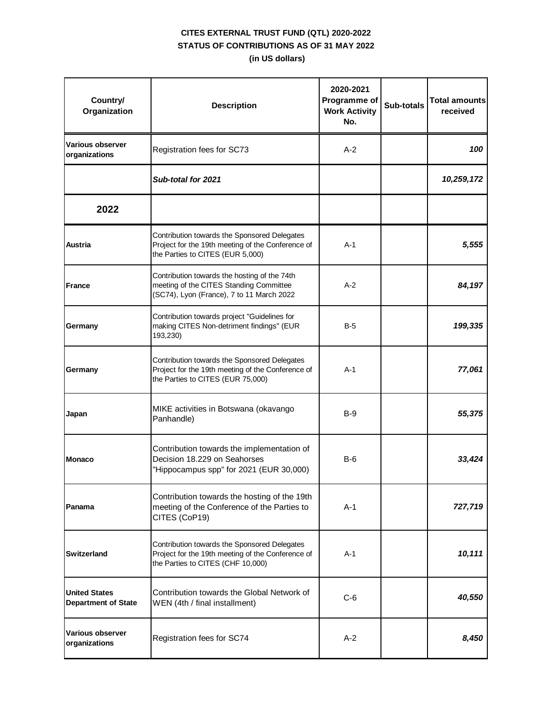| Country/<br>Organization                           | <b>Description</b>                                                                                                                     | 2020-2021<br>Programme of<br><b>Work Activity</b><br>No. | Sub-totals | <b>Total amounts</b><br>received |
|----------------------------------------------------|----------------------------------------------------------------------------------------------------------------------------------------|----------------------------------------------------------|------------|----------------------------------|
| Various observer<br>organizations                  | Registration fees for SC73                                                                                                             | $A-2$                                                    |            | 100                              |
|                                                    | Sub-total for 2021                                                                                                                     |                                                          |            | 10,259,172                       |
| 2022                                               |                                                                                                                                        |                                                          |            |                                  |
| Austria                                            | Contribution towards the Sponsored Delegates<br>Project for the 19th meeting of the Conference of<br>the Parties to CITES (EUR 5,000)  | $A-1$                                                    |            | 5,555                            |
| <b>France</b>                                      | Contribution towards the hosting of the 74th<br>meeting of the CITES Standing Committee<br>(SC74), Lyon (France), 7 to 11 March 2022   | A-2                                                      |            | 84,197                           |
| Germany                                            | Contribution towards project "Guidelines for<br>making CITES Non-detriment findings" (EUR<br>193,230)                                  | B-5                                                      |            | 199,335                          |
| Germany                                            | Contribution towards the Sponsored Delegates<br>Project for the 19th meeting of the Conference of<br>the Parties to CITES (EUR 75,000) | $A-1$                                                    |            | 77,061                           |
| Japan                                              | MIKE activities in Botswana (okavango<br>Panhandle)                                                                                    | B-9                                                      |            | 55,375                           |
| <b>Monaco</b>                                      | Contribution towards the implementation of<br>Decision 18.229 on Seahorses<br>"Hippocampus spp" for 2021 (EUR 30,000)                  | $B-6$                                                    |            | 33,424                           |
| Panama                                             | Contribution towards the hosting of the 19th<br>meeting of the Conference of the Parties to<br>CITES (CoP19)                           | $A-1$                                                    |            | 727,719                          |
| <b>Switzerland</b>                                 | Contribution towards the Sponsored Delegates<br>Project for the 19th meeting of the Conference of<br>the Parties to CITES (CHF 10,000) | $A-1$                                                    |            | 10,111                           |
| <b>United States</b><br><b>Department of State</b> | Contribution towards the Global Network of<br>WEN (4th / final installment)                                                            | $C-6$                                                    |            | 40,550                           |
| <b>Various observer</b><br>organizations           | Registration fees for SC74                                                                                                             | $A-2$                                                    |            | 8,450                            |